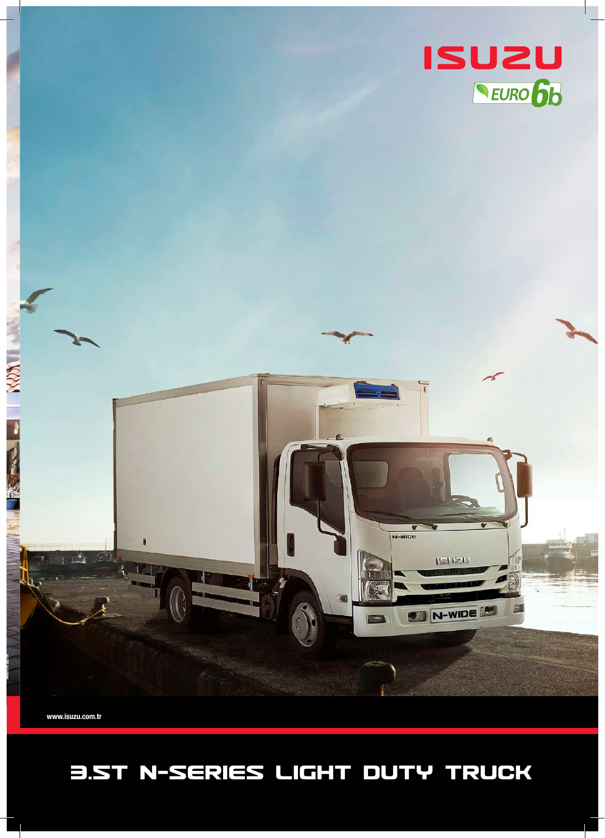## 3.5T N-SERIES LIGHT DUTY TRUCK

www.isuzu.com.tr

March 2019

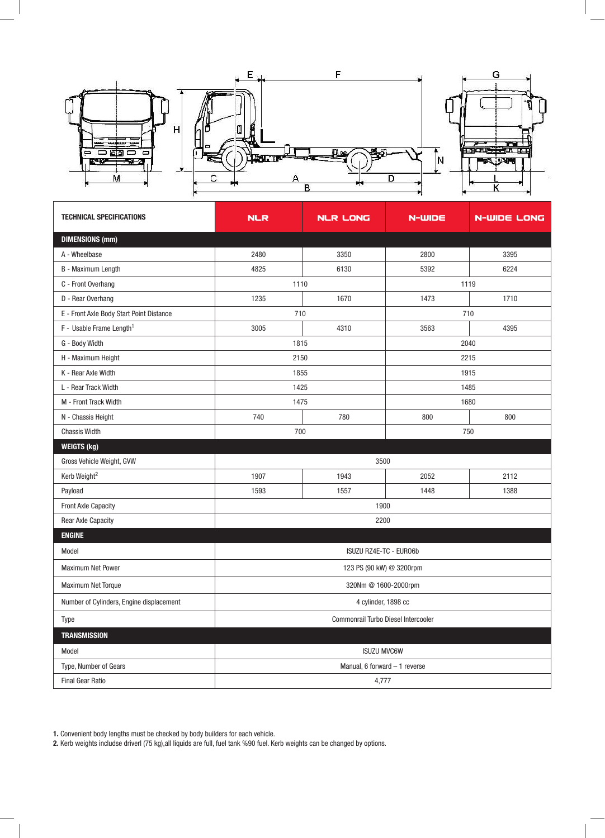

| <b>TECHNICAL SPECIFICATIONS</b>          | <b>NLR</b>                          | <b>NLR LONG</b> | N-WIDE | <b>N-WIDE LONG</b> |
|------------------------------------------|-------------------------------------|-----------------|--------|--------------------|
| <b>DIMENSIONS (mm)</b>                   |                                     |                 |        |                    |
| A - Wheelbase                            | 2480                                | 3350            | 2800   | 3395               |
| B - Maximum Length                       | 4825                                | 6130            | 5392   | 6224               |
| C - Front Overhang                       | 1110                                |                 | 1119   |                    |
| D - Rear Overhang                        | 1235                                | 1670            | 1473   | 1710               |
| E - Front Axle Body Start Point Distance | 710                                 |                 | 710    |                    |
| F - Usable Frame Length <sup>1</sup>     | 3005                                | 4310            | 3563   | 4395               |
| G - Body Width                           | 1815                                |                 | 2040   |                    |
| H - Maximum Height                       | 2150                                |                 | 2215   |                    |
| K - Rear Axle Width                      | 1855                                |                 | 1915   |                    |
| L - Rear Track Width                     | 1425                                |                 | 1485   |                    |
| M - Front Track Width                    | 1475                                |                 | 1680   |                    |
| N - Chassis Height                       | 740                                 | 780             | 800    | 800                |
| <b>Chassis Width</b>                     | 700                                 |                 | 750    |                    |
| <b>WEIGTS (kg)</b>                       |                                     |                 |        |                    |
| Gross Vehicle Weight, GVW                |                                     | 3500            |        |                    |
| Kerb Weight <sup>2</sup>                 | 1907                                | 1943            | 2052   | 2112               |
| Payload                                  | 1593                                | 1557            | 1448   | 1388               |
| <b>Front Axle Capacity</b>               | 1900                                |                 |        |                    |
| Rear Axle Capacity                       | 2200                                |                 |        |                    |
| <b>ENGINE</b>                            |                                     |                 |        |                    |
| Model                                    | ISUZU RZ4E-TC - EURO6b              |                 |        |                    |
| Maximum Net Power                        | 123 PS (90 kW) @ 3200rpm            |                 |        |                    |
| <b>Maximum Net Torque</b>                | 320Nm @ 1600-2000rpm                |                 |        |                    |
| Number of Cylinders, Engine displacement | 4 cylinder, 1898 cc                 |                 |        |                    |
| Type                                     | Commonrail Turbo Diesel Intercooler |                 |        |                    |
| <b>TRANSMISSION</b>                      |                                     |                 |        |                    |
| Model                                    | <b>ISUZU MVC6W</b>                  |                 |        |                    |
| Type, Number of Gears                    | Manual, 6 forward - 1 reverse       |                 |        |                    |
| <b>Final Gear Ratio</b>                  | 4,777                               |                 |        |                    |

1. Convenient body lengths must be checked by body builders for each vehicle.

2. Kerb weights includse driverl (75 kg),all liquids are full, fuel tank %90 fuel. Kerb weights can be changed by options.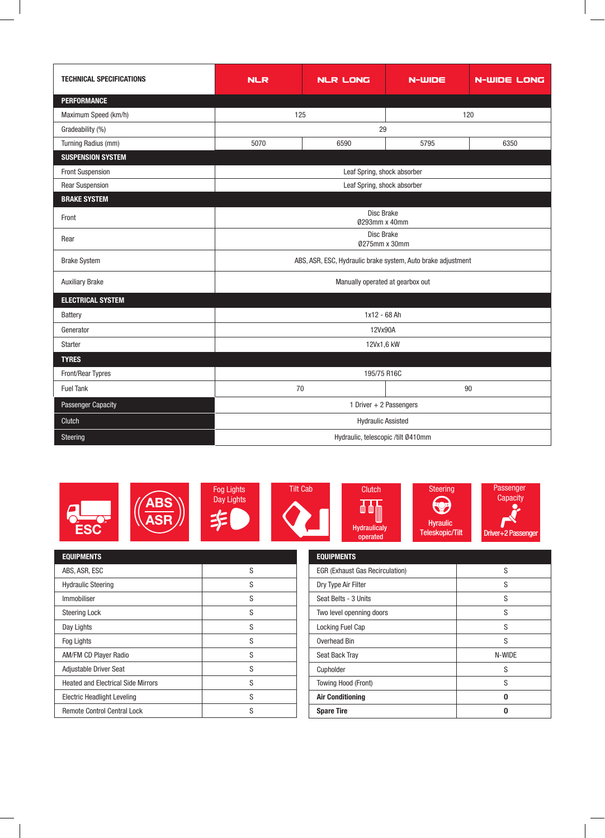| <b>TECHNICAL SPECIFICATIONS</b> | <b>NLR</b>                                                   | <b>NLR LONG</b> | $N$ -WIDE | <b>N-WIDE LONG</b> |
|---------------------------------|--------------------------------------------------------------|-----------------|-----------|--------------------|
| <b>PERFORMANCE</b>              |                                                              |                 |           |                    |
| Maximum Speed (km/h)            | 125                                                          |                 | 120       |                    |
| Gradeability (%)                | 29                                                           |                 |           |                    |
| Turning Radius (mm)             | 5070                                                         | 6590            | 5795      | 6350               |
| <b>SUSPENSION SYSTEM</b>        |                                                              |                 |           |                    |
| <b>Front Suspension</b>         | Leaf Spring, shock absorber                                  |                 |           |                    |
| <b>Rear Suspension</b>          | Leaf Spring, shock absorber                                  |                 |           |                    |
| <b>BRAKE SYSTEM</b>             |                                                              |                 |           |                    |
| Front                           | Disc Brake<br>0293mm x 40mm                                  |                 |           |                    |
| Rear                            | Disc Brake<br>0275mm x 30mm                                  |                 |           |                    |
| <b>Brake System</b>             | ABS, ASR, ESC, Hydraulic brake system, Auto brake adjustment |                 |           |                    |
| <b>Auxiliary Brake</b>          | Manually operated at gearbox out                             |                 |           |                    |
| <b>ELECTRICAL SYSTEM</b>        |                                                              |                 |           |                    |
| <b>Battery</b>                  | 1x12 - 68 Ah                                                 |                 |           |                    |
| Generator                       | 12Vx90A                                                      |                 |           |                    |
| <b>Starter</b>                  | 12Vx1,6 kW                                                   |                 |           |                    |
| <b>TYRES</b>                    |                                                              |                 |           |                    |
| Front/Rear Typres               | 195/75 R16C                                                  |                 |           |                    |
| <b>Fuel Tank</b>                |                                                              | 70<br>90        |           |                    |
| Passenger Capacity              | 1 Driver + 2 Passengers                                      |                 |           |                    |
| Clutch                          | <b>Hydraulic Assisted</b>                                    |                 |           |                    |
| Steering                        | Hydraulic, telescopic /tilt Ø410mm                           |                 |           |                    |



| <b>EQUIPMENTS</b>                         |   |
|-------------------------------------------|---|
| ABS, ASR, ESC                             | S |
| <b>Hydraulic Steering</b>                 | S |
| Immobiliser                               | S |
| <b>Steering Lock</b>                      | S |
| Day Lights                                | S |
| Fog Lights                                | S |
| <b>AM/FM CD Player Radio</b>              | S |
| <b>Adjustable Driver Seat</b>             | S |
| <b>Heated and Electrical Side Mirrors</b> | S |
| <b>Electric Headlight Leveling</b>        | S |
| <b>Remote Control Central Lock</b>        | S |

 $\overline{\phantom{a}}$ 

| <b>EQUIPMENTS</b>                      |        |
|----------------------------------------|--------|
| <b>EGR (Exhaust Gas Recirculation)</b> | S      |
| Dry Type Air Filter                    | S      |
| Seat Belts - 3 Units                   | S      |
| Two level openning doors               | S      |
| Locking Fuel Cap                       | S      |
| Overhead Bin                           | S      |
| Seat Back Tray                         | N-WIDE |
| Cupholder                              | S      |
| Towing Hood (Front)                    | S      |
| <b>Air Conditioning</b>                | በ      |
| <b>Spare Tire</b>                      |        |